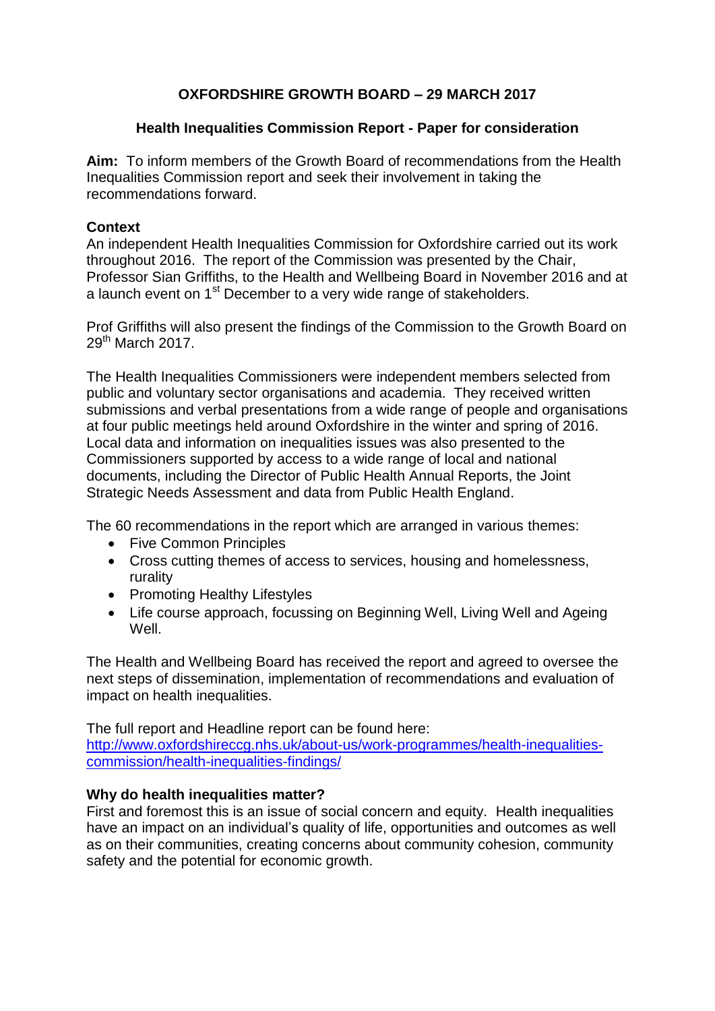# **OXFORDSHIRE GROWTH BOARD – 29 MARCH 2017**

### **Health Inequalities Commission Report - Paper for consideration**

**Aim:** To inform members of the Growth Board of recommendations from the Health Inequalities Commission report and seek their involvement in taking the recommendations forward.

### **Context**

An independent Health Inequalities Commission for Oxfordshire carried out its work throughout 2016. The report of the Commission was presented by the Chair, Professor Sian Griffiths, to the Health and Wellbeing Board in November 2016 and at a launch event on 1<sup>st</sup> December to a very wide range of stakeholders.

Prof Griffiths will also present the findings of the Commission to the Growth Board on  $29<sup>th</sup>$  March 2017.

The Health Inequalities Commissioners were independent members selected from public and voluntary sector organisations and academia. They received written submissions and verbal presentations from a wide range of people and organisations at four public meetings held around Oxfordshire in the winter and spring of 2016. Local data and information on inequalities issues was also presented to the Commissioners supported by access to a wide range of local and national documents, including the Director of Public Health Annual Reports, the Joint Strategic Needs Assessment and data from Public Health England.

The 60 recommendations in the report which are arranged in various themes:

- Five Common Principles
- Cross cutting themes of access to services, housing and homelessness, rurality
- Promoting Healthy Lifestyles
- Life course approach, focussing on Beginning Well, Living Well and Ageing Well.

The Health and Wellbeing Board has received the report and agreed to oversee the next steps of dissemination, implementation of recommendations and evaluation of impact on health inequalities.

The full report and Headline report can be found here: [http://www.oxfordshireccg.nhs.uk/about-us/work-programmes/health-inequalities](http://www.oxfordshireccg.nhs.uk/about-us/work-programmes/health-inequalities-commission/health-inequalities-findings/)[commission/health-inequalities-findings/](http://www.oxfordshireccg.nhs.uk/about-us/work-programmes/health-inequalities-commission/health-inequalities-findings/)

### **Why do health inequalities matter?**

First and foremost this is an issue of social concern and equity. Health inequalities have an impact on an individual's quality of life, opportunities and outcomes as well as on their communities, creating concerns about community cohesion, community safety and the potential for economic growth.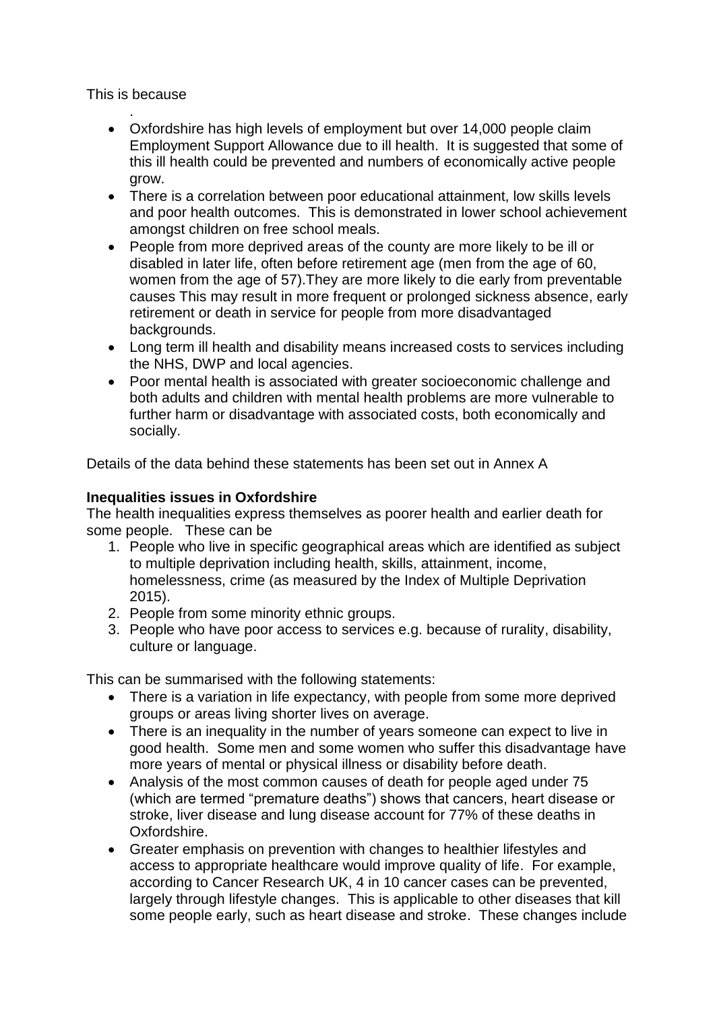This is because

- . Oxfordshire has high levels of employment but over 14,000 people claim Employment Support Allowance due to ill health. It is suggested that some of this ill health could be prevented and numbers of economically active people grow.
- There is a correlation between poor educational attainment, low skills levels and poor health outcomes. This is demonstrated in lower school achievement amongst children on free school meals.
- People from more deprived areas of the county are more likely to be ill or disabled in later life, often before retirement age (men from the age of 60, women from the age of 57).They are more likely to die early from preventable causes This may result in more frequent or prolonged sickness absence, early retirement or death in service for people from more disadvantaged backgrounds.
- Long term ill health and disability means increased costs to services including the NHS, DWP and local agencies.
- Poor mental health is associated with greater socioeconomic challenge and both adults and children with mental health problems are more vulnerable to further harm or disadvantage with associated costs, both economically and socially.

Details of the data behind these statements has been set out in Annex A

### **Inequalities issues in Oxfordshire**

The health inequalities express themselves as poorer health and earlier death for some people. These can be

- 1. People who live in specific geographical areas which are identified as subject to multiple deprivation including health, skills, attainment, income, homelessness, crime (as measured by the Index of Multiple Deprivation 2015).
- 2. People from some minority ethnic groups.
- 3. People who have poor access to services e.g. because of rurality, disability, culture or language.

This can be summarised with the following statements:

- There is a variation in life expectancy, with people from some more deprived groups or areas living shorter lives on average.
- There is an inequality in the number of years someone can expect to live in good health. Some men and some women who suffer this disadvantage have more years of mental or physical illness or disability before death.
- Analysis of the most common causes of death for people aged under 75 (which are termed "premature deaths") shows that cancers, heart disease or stroke, liver disease and lung disease account for 77% of these deaths in Oxfordshire.
- Greater emphasis on prevention with changes to healthier lifestyles and access to appropriate healthcare would improve quality of life. For example, according to Cancer Research UK, 4 in 10 cancer cases can be prevented, largely through lifestyle changes. This is applicable to other diseases that kill some people early, such as heart disease and stroke. These changes include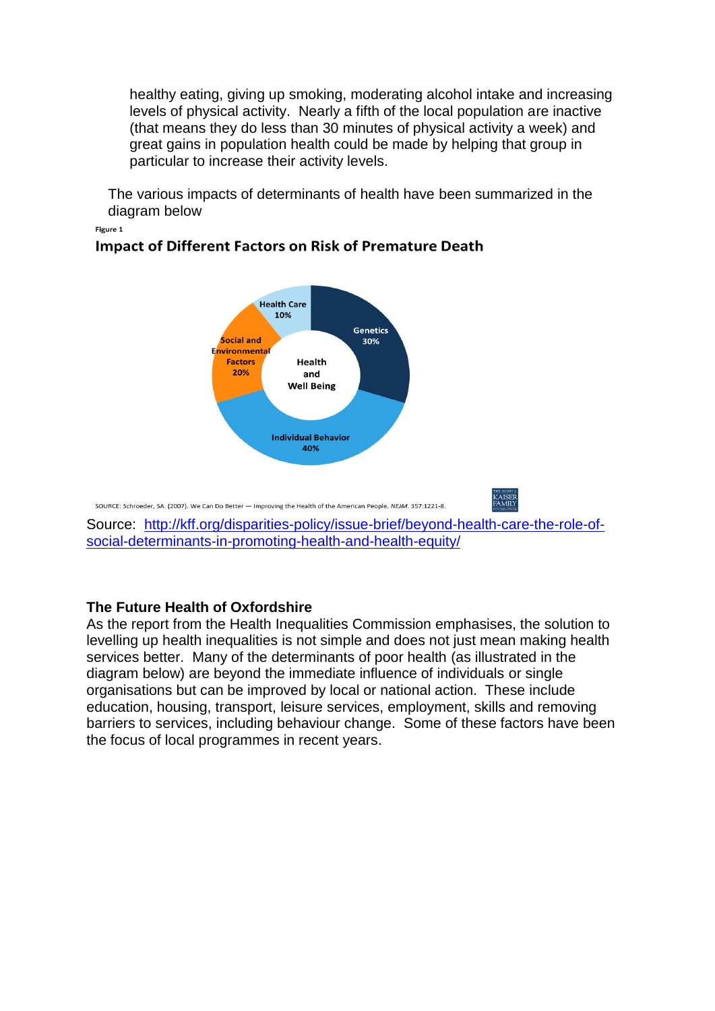healthy eating, giving up smoking, moderating alcohol intake and increasing levels of physical activity. Nearly a fifth of the local population are inactive (that means they do less than 30 minutes of physical activity a week) and great gains in population health could be made by helping that group in particular to increase their activity levels.

The various impacts of determinants of health have been summarized in the diagram below

Figure 1



## **Impact of Different Factors on Risk of Premature Death**

### **The Future Health of Oxfordshire**

As the report from the Health Inequalities Commission emphasises, the solution to levelling up health inequalities is not simple and does not just mean making health services better. Many of the determinants of poor health (as illustrated in the diagram below) are beyond the immediate influence of individuals or single organisations but can be improved by local or national action. These include education, housing, transport, leisure services, employment, skills and removing barriers to services, including behaviour change. Some of these factors have been the focus of local programmes in recent years.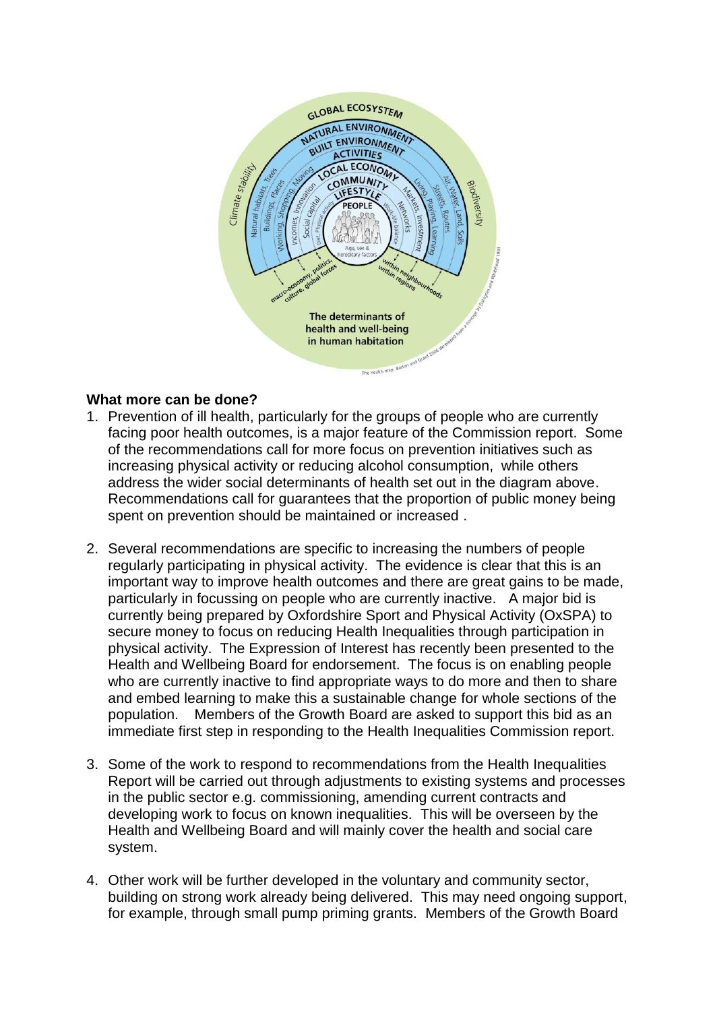

### **What more can be done?**

- 1. Prevention of ill health, particularly for the groups of people who are currently facing poor health outcomes, is a major feature of the Commission report. Some of the recommendations call for more focus on prevention initiatives such as increasing physical activity or reducing alcohol consumption, while others address the wider social determinants of health set out in the diagram above. Recommendations call for guarantees that the proportion of public money being spent on prevention should be maintained or increased .
- 2. Several recommendations are specific to increasing the numbers of people regularly participating in physical activity. The evidence is clear that this is an important way to improve health outcomes and there are great gains to be made, particularly in focussing on people who are currently inactive. A major bid is currently being prepared by Oxfordshire Sport and Physical Activity (OxSPA) to secure money to focus on reducing Health Inequalities through participation in physical activity. The Expression of Interest has recently been presented to the Health and Wellbeing Board for endorsement. The focus is on enabling people who are currently inactive to find appropriate ways to do more and then to share and embed learning to make this a sustainable change for whole sections of the population. Members of the Growth Board are asked to support this bid as an immediate first step in responding to the Health Inequalities Commission report.
- 3. Some of the work to respond to recommendations from the Health Inequalities Report will be carried out through adjustments to existing systems and processes in the public sector e.g. commissioning, amending current contracts and developing work to focus on known inequalities. This will be overseen by the Health and Wellbeing Board and will mainly cover the health and social care system.
- 4. Other work will be further developed in the voluntary and community sector, building on strong work already being delivered. This may need ongoing support, for example, through small pump priming grants. Members of the Growth Board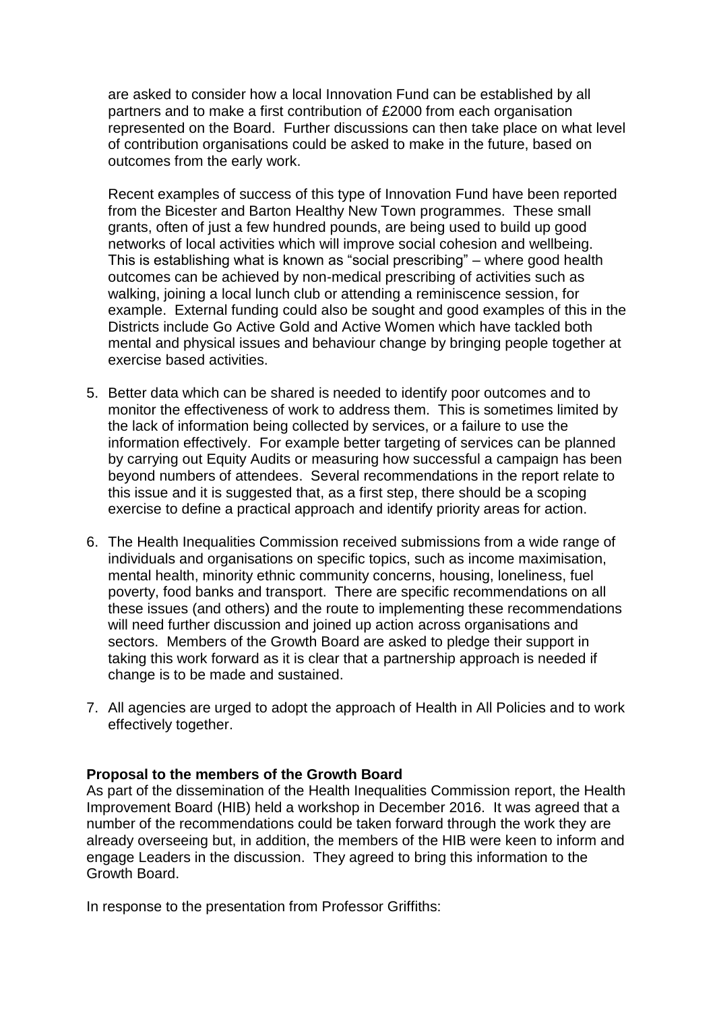are asked to consider how a local Innovation Fund can be established by all partners and to make a first contribution of £2000 from each organisation represented on the Board. Further discussions can then take place on what level of contribution organisations could be asked to make in the future, based on outcomes from the early work.

Recent examples of success of this type of Innovation Fund have been reported from the Bicester and Barton Healthy New Town programmes. These small grants, often of just a few hundred pounds, are being used to build up good networks of local activities which will improve social cohesion and wellbeing. This is establishing what is known as "social prescribing" – where good health outcomes can be achieved by non-medical prescribing of activities such as walking, joining a local lunch club or attending a reminiscence session, for example. External funding could also be sought and good examples of this in the Districts include Go Active Gold and Active Women which have tackled both mental and physical issues and behaviour change by bringing people together at exercise based activities.

- 5. Better data which can be shared is needed to identify poor outcomes and to monitor the effectiveness of work to address them. This is sometimes limited by the lack of information being collected by services, or a failure to use the information effectively. For example better targeting of services can be planned by carrying out Equity Audits or measuring how successful a campaign has been beyond numbers of attendees. Several recommendations in the report relate to this issue and it is suggested that, as a first step, there should be a scoping exercise to define a practical approach and identify priority areas for action.
- 6. The Health Inequalities Commission received submissions from a wide range of individuals and organisations on specific topics, such as income maximisation, mental health, minority ethnic community concerns, housing, loneliness, fuel poverty, food banks and transport. There are specific recommendations on all these issues (and others) and the route to implementing these recommendations will need further discussion and joined up action across organisations and sectors. Members of the Growth Board are asked to pledge their support in taking this work forward as it is clear that a partnership approach is needed if change is to be made and sustained.
- 7. All agencies are urged to adopt the approach of Health in All Policies and to work effectively together.

### **Proposal to the members of the Growth Board**

As part of the dissemination of the Health Inequalities Commission report, the Health Improvement Board (HIB) held a workshop in December 2016. It was agreed that a number of the recommendations could be taken forward through the work they are already overseeing but, in addition, the members of the HIB were keen to inform and engage Leaders in the discussion. They agreed to bring this information to the Growth Board.

In response to the presentation from Professor Griffiths: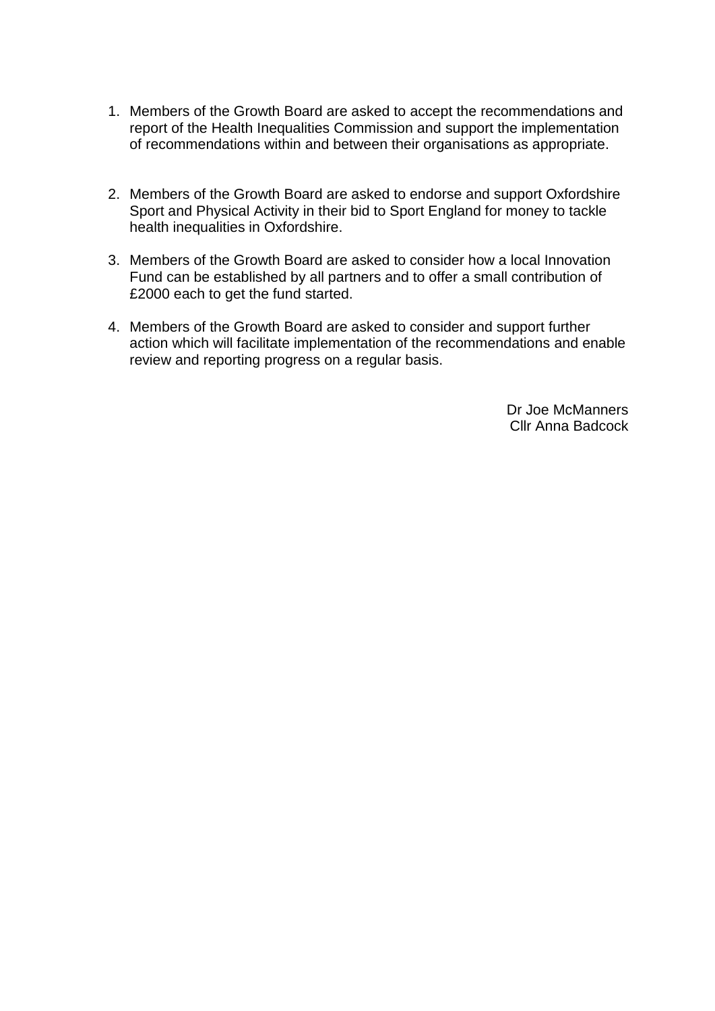- 1. Members of the Growth Board are asked to accept the recommendations and report of the Health Inequalities Commission and support the implementation of recommendations within and between their organisations as appropriate.
- 2. Members of the Growth Board are asked to endorse and support Oxfordshire Sport and Physical Activity in their bid to Sport England for money to tackle health inequalities in Oxfordshire.
- 3. Members of the Growth Board are asked to consider how a local Innovation Fund can be established by all partners and to offer a small contribution of £2000 each to get the fund started.
- 4. Members of the Growth Board are asked to consider and support further action which will facilitate implementation of the recommendations and enable review and reporting progress on a regular basis.

Dr Joe McManners Cllr Anna Badcock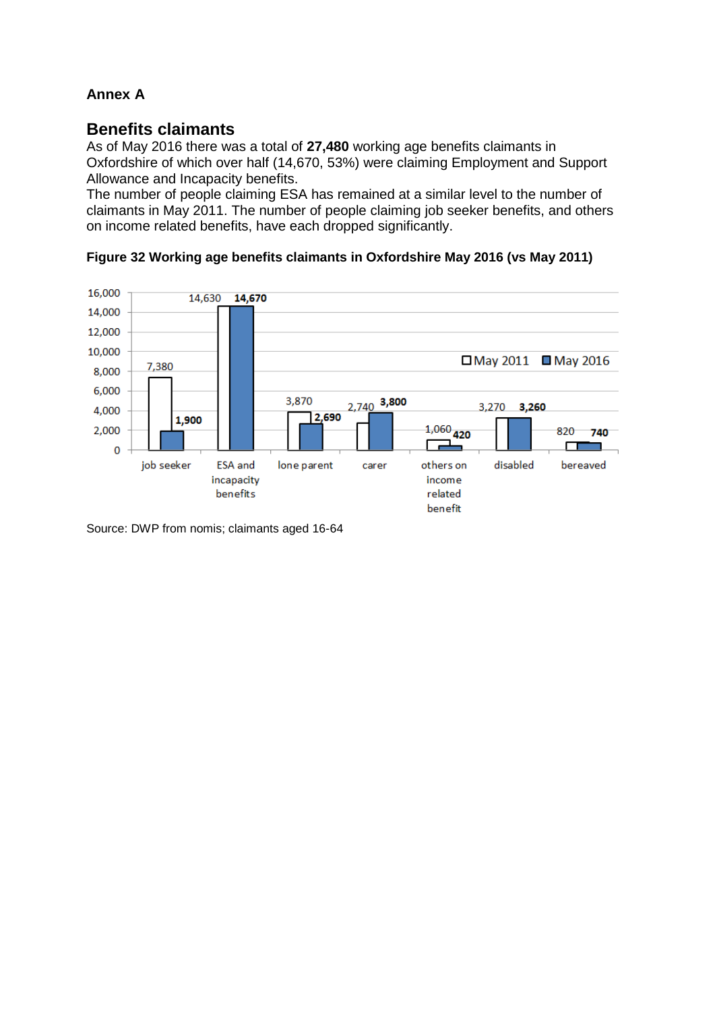# **Annex A**

# **Benefits claimants**

As of May 2016 there was a total of **27,480** working age benefits claimants in Oxfordshire of which over half (14,670, 53%) were claiming Employment and Support Allowance and Incapacity benefits.

The number of people claiming ESA has remained at a similar level to the number of claimants in May 2011. The number of people claiming job seeker benefits, and others on income related benefits, have each dropped significantly.





Source: DWP from nomis; claimants aged 16-64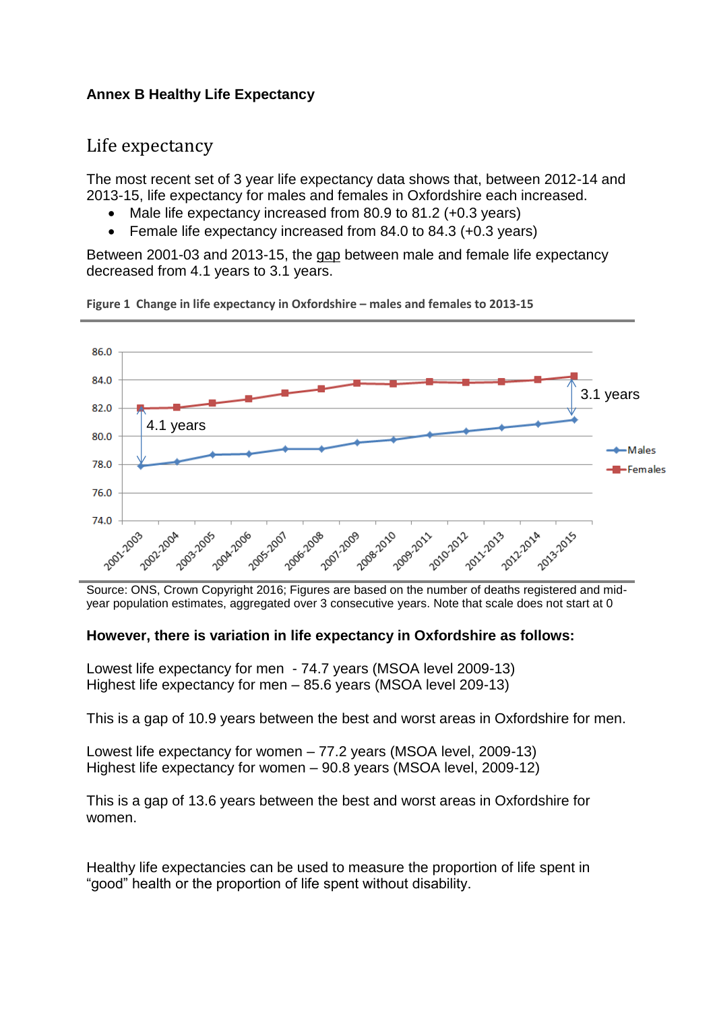## **Annex B Healthy Life Expectancy**

# Life expectancy

The most recent set of 3 year life expectancy data shows that, between 2012-14 and 2013-15, life expectancy for males and females in Oxfordshire each increased.

- Male life expectancy increased from 80.9 to 81.2 (+0.3 years)
- Female life expectancy increased from 84.0 to 84.3 (+0.3 years)

Between 2001-03 and 2013-15, the gap between male and female life expectancy decreased from 4.1 years to 3.1 years.



**Figure 1 Change in life expectancy in Oxfordshire – males and females to 2013-15**

Source: ONS, Crown Copyright 2016; Figures are based on the number of deaths registered and midyear population estimates, aggregated over 3 consecutive years. Note that scale does not start at 0

### **However, there is variation in life expectancy in Oxfordshire as follows:**

Lowest life expectancy for men - 74.7 years (MSOA level 2009-13) Highest life expectancy for men – 85.6 years (MSOA level 209-13)

This is a gap of 10.9 years between the best and worst areas in Oxfordshire for men.

Lowest life expectancy for women – 77.2 years (MSOA level, 2009-13) Highest life expectancy for women – 90.8 years (MSOA level, 2009-12)

This is a gap of 13.6 years between the best and worst areas in Oxfordshire for women.

Healthy life expectancies can be used to measure the proportion of life spent in "good" health or the proportion of life spent without disability.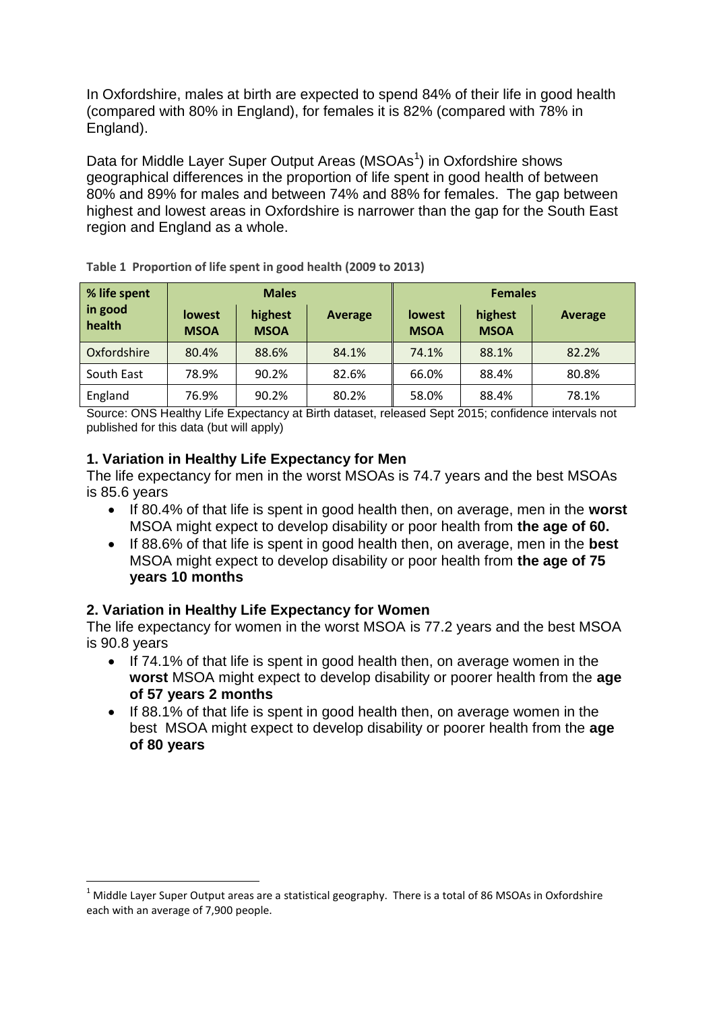In Oxfordshire, males at birth are expected to spend 84% of their life in good health (compared with 80% in England), for females it is 82% (compared with 78% in England).

Data for Middle Layer Super Output Areas (MSOAs<sup>1</sup>) in Oxfordshire shows geographical differences in the proportion of life spent in good health of between 80% and 89% for males and between 74% and 88% for females. The gap between highest and lowest areas in Oxfordshire is narrower than the gap for the South East region and England as a whole.

| % life spent      | <b>Males</b>                 |                        |         | <b>Females</b>               |                        |                |
|-------------------|------------------------------|------------------------|---------|------------------------------|------------------------|----------------|
| in good<br>health | <b>lowest</b><br><b>MSOA</b> | highest<br><b>MSOA</b> | Average | <b>lowest</b><br><b>MSOA</b> | highest<br><b>MSOA</b> | <b>Average</b> |
| Oxfordshire       | 80.4%                        | 88.6%                  | 84.1%   | 74.1%                        | 88.1%                  | 82.2%          |
| South East        | 78.9%                        | 90.2%                  | 82.6%   | 66.0%                        | 88.4%                  | 80.8%          |
| England           | 76.9%                        | 90.2%                  | 80.2%   | 58.0%                        | 88.4%                  | 78.1%          |

**Table 1 Proportion of life spent in good health (2009 to 2013)**

Source: ONS Healthy Life Expectancy at Birth dataset, released Sept 2015; confidence intervals not published for this data (but will apply)

### **1. Variation in Healthy Life Expectancy for Men**

The life expectancy for men in the worst MSOAs is 74.7 years and the best MSOAs is 85.6 years

- If 80.4% of that life is spent in good health then, on average, men in the **worst** MSOA might expect to develop disability or poor health from **the age of 60.**
- If 88.6% of that life is spent in good health then, on average, men in the **best** MSOA might expect to develop disability or poor health from **the age of 75 years 10 months**

### **2. Variation in Healthy Life Expectancy for Women**

1

The life expectancy for women in the worst MSOA is 77.2 years and the best MSOA is 90.8 years

- If 74.1% of that life is spent in good health then, on average women in the **worst** MSOA might expect to develop disability or poorer health from the **age of 57 years 2 months**
- If 88.1% of that life is spent in good health then, on average women in the best MSOA might expect to develop disability or poorer health from the **age of 80 years**

 $1$  Middle Layer Super Output areas are a statistical geography. There is a total of 86 MSOAs in Oxfordshire each with an average of 7,900 people.